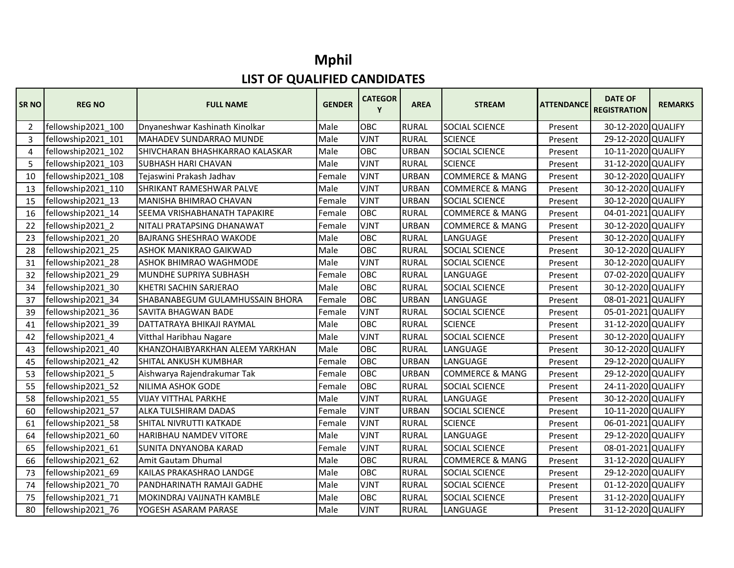## **Mphil LIST OF QUALIFIED CANDIDATES**

| <b>SRNO</b>    | <b>REG NO</b>      | <b>FULL NAME</b>                    | <b>GENDER</b> | <b>CATEGOR</b><br>Y | <b>AREA</b>  | <b>STREAM</b>              | <b>ATTENDANCE</b> | <b>DATE OF</b><br><b>REGISTRATION</b> | <b>REMARKS</b> |
|----------------|--------------------|-------------------------------------|---------------|---------------------|--------------|----------------------------|-------------------|---------------------------------------|----------------|
| $\overline{2}$ | fellowship2021 100 | Dnyaneshwar Kashinath Kinolkar      | Male          | <b>OBC</b>          | <b>RURAL</b> | <b>SOCIAL SCIENCE</b>      | Present           | 30-12-2020 QUALIFY                    |                |
| 3              | fellowship2021 101 | MAHADEV SUNDARRAO MUNDE             | Male          | <b>VJNT</b>         | <b>RURAL</b> | <b>SCIENCE</b>             | Present           | 29-12-2020 QUALIFY                    |                |
| 4              | fellowship2021_102 | SHIVCHARAN BHASHKARRAO KALASKAR     | Male          | <b>OBC</b>          | <b>URBAN</b> | <b>SOCIAL SCIENCE</b>      | Present           | 10-11-2020 QUALIFY                    |                |
| 5              | fellowship2021 103 | <b>SUBHASH HARI CHAVAN</b>          | Male          | <b>VJNT</b>         | <b>RURAL</b> | <b>SCIENCE</b>             | Present           | 31-12-2020 QUALIFY                    |                |
| 10             | fellowship2021_108 | Tejaswini Prakash Jadhav            | Female        | <b>VJNT</b>         | <b>URBAN</b> | <b>COMMERCE &amp; MANG</b> | Present           | 30-12-2020 QUALIFY                    |                |
| 13             | fellowship2021 110 | <b>SHRIKANT RAMESHWAR PALVE</b>     | Male          | <b>VJNT</b>         | <b>URBAN</b> | <b>COMMERCE &amp; MANG</b> | Present           | 30-12-2020 QUALIFY                    |                |
| 15             | fellowship2021 13  | MANISHA BHIMRAO CHAVAN              | Female        | <b>VJNT</b>         | <b>URBAN</b> | <b>SOCIAL SCIENCE</b>      | Present           | 30-12-2020 QUALIFY                    |                |
| 16             | fellowship2021 14  | <b>SEEMA VRISHABHANATH TAPAKIRE</b> | Female        | <b>OBC</b>          | <b>RURAL</b> | <b>COMMERCE &amp; MANG</b> | Present           | 04-01-2021 QUALIFY                    |                |
| 22             | fellowship2021_2   | NITALI PRATAPSING DHANAWAT          | Female        | <b>VJNT</b>         | <b>URBAN</b> | <b>COMMERCE &amp; MANG</b> | Present           | 30-12-2020 QUALIFY                    |                |
| 23             | fellowship2021_20  | <b>BAJRANG SHESHRAO WAKODE</b>      | Male          | <b>OBC</b>          | <b>RURAL</b> | LANGUAGE                   | Present           | 30-12-2020 QUALIFY                    |                |
| 28             | fellowship2021 25  | ASHOK MANIKRAO GAIKWAD              | Male          | <b>OBC</b>          | <b>RURAL</b> | <b>SOCIAL SCIENCE</b>      | Present           | 30-12-2020 QUALIFY                    |                |
| 31             | fellowship2021 28  | ASHOK BHIMRAO WAGHMODE              | Male          | <b>VJNT</b>         | <b>RURAL</b> | <b>SOCIAL SCIENCE</b>      | Present           | 30-12-2020 QUALIFY                    |                |
| 32             | fellowship2021 29  | MUNDHE SUPRIYA SUBHASH              | Female        | <b>OBC</b>          | <b>RURAL</b> | LANGUAGE                   | Present           | 07-02-2020 QUALIFY                    |                |
| 34             | fellowship2021_30  | KHETRI SACHIN SARJERAO              | Male          | OBC                 | <b>RURAL</b> | <b>SOCIAL SCIENCE</b>      | Present           | 30-12-2020 QUALIFY                    |                |
| 37             | fellowship2021_34  | SHABANABEGUM GULAMHUSSAIN BHORA     | Female        | <b>OBC</b>          | <b>URBAN</b> | LANGUAGE                   | Present           | 08-01-2021 QUALIFY                    |                |
| 39             | fellowship2021 36  | SAVITA BHAGWAN BADE                 | Female        | <b>VJNT</b>         | <b>RURAL</b> | SOCIAL SCIENCE             | Present           | 05-01-2021 QUALIFY                    |                |
| 41             | fellowship2021 39  | DATTATRAYA BHIKAJI RAYMAL           | Male          | <b>OBC</b>          | <b>RURAL</b> | <b>SCIENCE</b>             | Present           | 31-12-2020 QUALIFY                    |                |
| 42             | fellowship2021 4   | Vitthal Haribhau Nagare             | Male          | <b>VJNT</b>         | <b>RURAL</b> | SOCIAL SCIENCE             | Present           | 30-12-2020 QUALIFY                    |                |
| 43             | fellowship2021_40  | KHANZOHAIBYARKHAN ALEEM YARKHAN     | Male          | OBC                 | <b>RURAL</b> | LANGUAGE                   | Present           | 30-12-2020 QUALIFY                    |                |
| 45             | fellowship2021 42  | SHITAL ANKUSH KUMBHAR               | Female        | <b>OBC</b>          | <b>URBAN</b> | LANGUAGE                   | Present           | 29-12-2020 QUALIFY                    |                |
| 53             | fellowship2021 5   | Aishwarya Rajendrakumar Tak         | Female        | <b>OBC</b>          | <b>URBAN</b> | <b>COMMERCE &amp; MANG</b> | Present           | 29-12-2020 QUALIFY                    |                |
| 55             | fellowship2021_52  | NILIMA ASHOK GODE                   | Female        | <b>OBC</b>          | <b>RURAL</b> | SOCIAL SCIENCE             | Present           | 24-11-2020 QUALIFY                    |                |
| 58             | fellowship2021_55  | <b>VIJAY VITTHAL PARKHE</b>         | Male          | <b>VJNT</b>         | <b>RURAL</b> | LANGUAGE                   | Present           | 30-12-2020 QUALIFY                    |                |
| 60             | fellowship2021_57  | ALKA TULSHIRAM DADAS                | Female        | <b>VJNT</b>         | <b>URBAN</b> | SOCIAL SCIENCE             | Present           | 10-11-2020 QUALIFY                    |                |
| 61             | fellowship2021 58  | <b>SHITAL NIVRUTTI KATKADE</b>      | Female        | <b>VJNT</b>         | <b>RURAL</b> | <b>SCIENCE</b>             | Present           | 06-01-2021 QUALIFY                    |                |
| 64             | fellowship2021 60  | <b>HARIBHAU NAMDEV VITORE</b>       | Male          | <b>VJNT</b>         | <b>RURAL</b> | LANGUAGE                   | Present           | 29-12-2020 QUALIFY                    |                |
| 65             | fellowship2021 61  | SUNITA DNYANOBA KARAD               | Female        | <b>VJNT</b>         | <b>RURAL</b> | SOCIAL SCIENCE             | Present           | 08-01-2021 QUALIFY                    |                |
| 66             | fellowship2021 62  | Amit Gautam Dhumal                  | Male          | OBC                 | <b>RURAL</b> | <b>COMMERCE &amp; MANG</b> | Present           | 31-12-2020 QUALIFY                    |                |
| 73             | fellowship2021_69  | KAILAS PRAKASHRAO LANDGE            | Male          | <b>OBC</b>          | <b>RURAL</b> | SOCIAL SCIENCE             | Present           | 29-12-2020 QUALIFY                    |                |
| 74             | fellowship2021 70  | PANDHARINATH RAMAJI GADHE           | Male          | <b>VJNT</b>         | <b>RURAL</b> | SOCIAL SCIENCE             | Present           | 01-12-2020 QUALIFY                    |                |
| 75             | fellowship2021_71  | MOKINDRAJ VAIJNATH KAMBLE           | Male          | OBC                 | <b>RURAL</b> | SOCIAL SCIENCE             | Present           | 31-12-2020 QUALIFY                    |                |
| 80             | fellowship2021 76  | YOGESH ASARAM PARASE                | Male          | <b>VJNT</b>         | <b>RURAL</b> | LANGUAGE                   | Present           | 31-12-2020 QUALIFY                    |                |